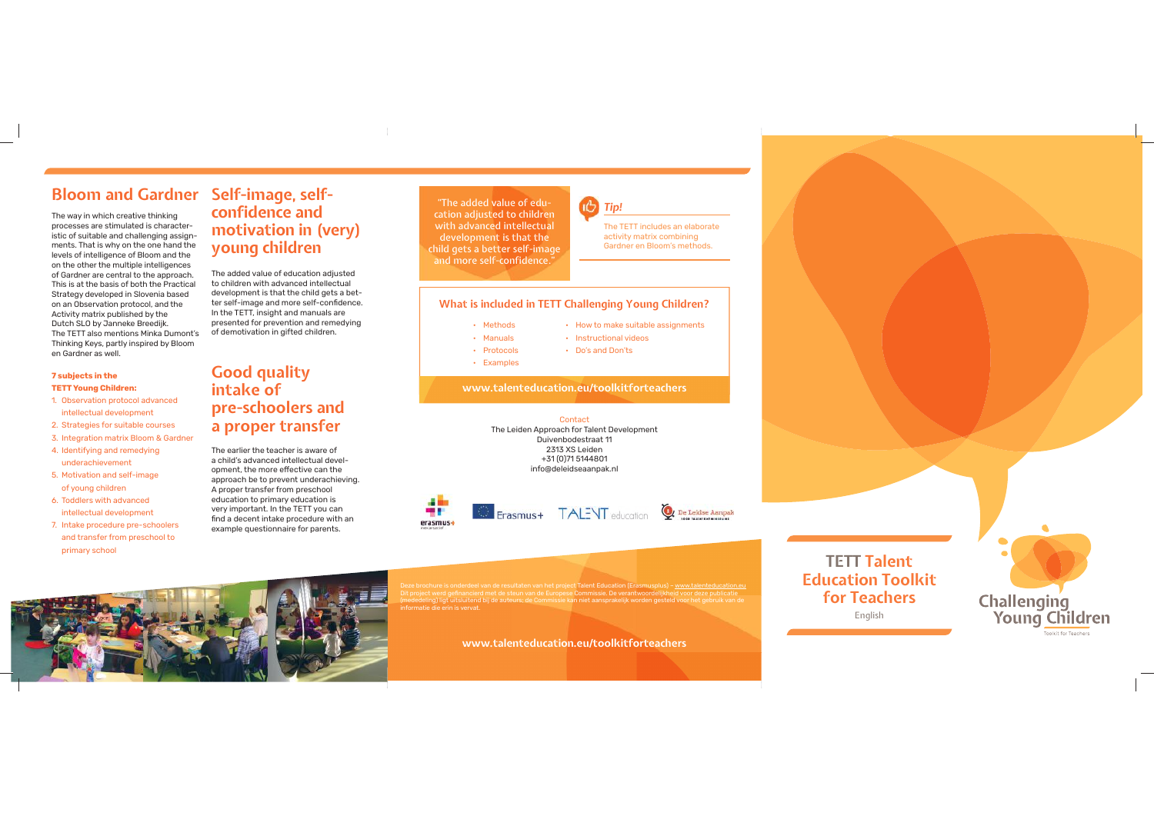## **Bloom and Gardner Self-image, self-**

The way in which creative thinking processes are stimulated is characteristic of suitable and challenging assignments. That is why on the one hand the levels of intelligence of Bloom and the on the other the multiple intelligences of Gardner are central to the approach. This is at the basis of both the Practical Strategy developed in Slovenia based on an Observation protocol, and the Activity matrix published by the Dutch SLO by Janneke Breedijk. The TETT also mentions Minka Dumont's Thinking Keys, partly inspired by Bloom en Gardner as well.

#### **7 subjects in the**

#### **TETT Young Children:** 1. Observation protocol advanced

- intellectual development
- 2. Strategies for suitable courses
- 3. Integration matrix Bloom & Gardner
- 4. Identifying and remedying underachievement
- 5. Motivation and self-image of young children
- 6. Toddlers with advanced intellectual development
- 7. Intake procedure pre-schoolers and transfer from preschool to primary school

# **confidence and motivation in (very) young children**

The added value of education adjusted to children with advanced intellectual development is that the child gets a better self-image and more self-confidence. In the TETT, insight and manuals are presented for prevention and remedying of demotivation in gifted children.

#### **Good quality intake of pre-schoolers and a proper transfer**

The earlier the teacher is aware of a child's advanced intellectual development, the more effective can the approach be to prevent underachieving. A proper transfer from preschool education to primary education is very important. In the TETT you can find a decent intake procedure with an example questionnaire for parents.

"The added value of education adjusted to children with advanced intellectual development is that the child gets a better self-image and more self-confidence."



• Instructional videos • Do's and Don'ts

The TETT includes an elaborate activity matrix combining Gardner en Bloom's methods.

#### **What is included in TETT Challenging Young Children?**

- How to make suitable assignments • Methods
- Manuals
- Protocols
- Examples

**www.talenteducation.eu/toolkitforteachers**

Contact The Leiden Approach for Talent Development Duivenbodestraat 11 2313 XS Leiden +31 (0)71 5144801 info@deleidseaanpak.nl



Deze brochure is onderdeel van de resultaten van het project Talent Education (Erasmusplus) – www.talenteducation.eu Dit project werd gefinancierd met de steun van de Europese Commissie. De verantwoordelijkheid voor deze publicatie (mededeling) ligt uitsluitend bij de auteurs; de Commissie kan niet aansprakelijk worden gesteld voor het gebruik van de informatie die erin is vervat.

**www.talenteducation.eu/toolkitforteachers**

**TETT Talent Education Toolkit for Teachers** English